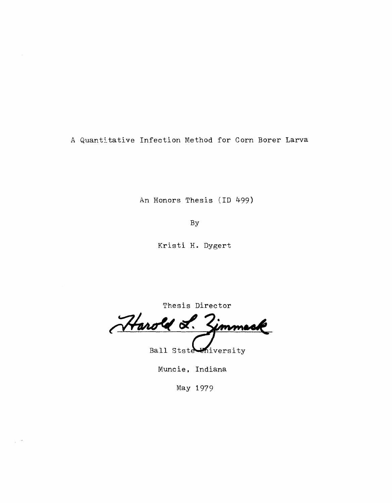A Quantitative Infection Method for Corn Borer Larva

An Honors Thesis (ID 499)

By

Kristi **H.** Dygert

Thesis Director

Harold L. immes

Ball Stste University

Muncie, Indiana

May 1979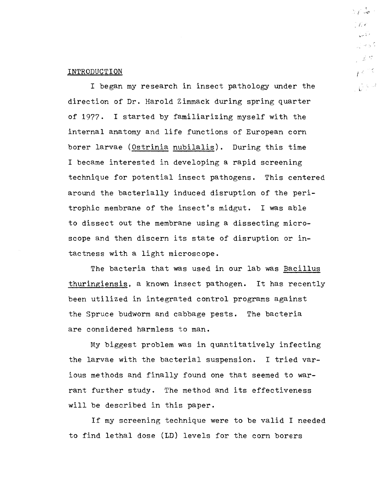# INTRODUCTION

I began my research in insect pathology under the direction of Dr. Harold Zimmack during spring quarter of 1977. I started by familiarizing myself with the internal anatomy and life functions of European corn borer larvae (Ostrinia nubilalis). During this time I became interested in developing a rapid screening technique for potential insect pathogens. This centered around the bacterially induced disruption of the peritrophic membrane of the insect's midgut. I was able to dissect out the membrane using a dissecting microscope and then discern its state of disruption or intactness with a light microscope.

The bacteria that was used in our lab was Bacillus thuringiensis, a known insect pathogen. It has recently been utilized in integrated control programs against the Spruce budworm and cabbage pests. The bacteria are considered harmless to man.

My biggest problem was in quantitatively infecting the larvae with the bacterial suspension. I tried various methods and finally found one that seemed to warrant further study. The method and its effectiveness will be described in this paper.

If my screening technique were to be valid I needed to find lethal dose (LD) levels for the corn borers

 $5 + \omega$  $\int_{0}^{2\pi} f(x) dx$  $\frac{1}{2}$  ,  $\frac{1}{2}$  ,  $\frac{1}{2}$ ्रसङ्ग : "  $j \in \mathbb{R}^d$ 급수류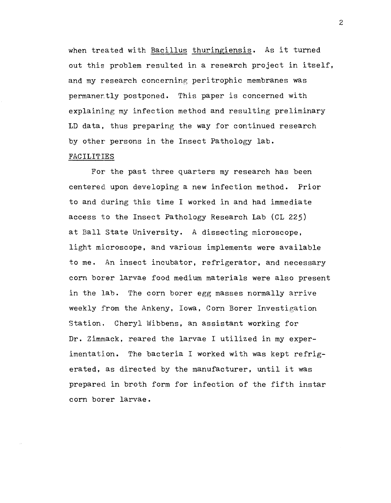when treated with Bacillus thuringiensis. As it turned out this problem resulted in a research project in itself, and my research concerning peritrophic membranes was permaner.tly postponed. This paper is concerned with explaining my infection method and resulting preliminary LD data. thus preparing the way for continued research by other persons in the Insect Pathology lab.

# FACILITIES

For the past three quarters my research has been centered upon developing a new infection method. Prior to and during this time I worked in and had immediate access to the Insect Pathology Research Lab (CL 225) at Ball State University. A dissecting microscope. light microscope. and various implements were available to me. An insect incubator, refrigerator, and necessary corn borer larvae food medium materials were also present in the lab. The corn borer egg masses normally arrive weekly from the Ankeny, Iowa. Corn Borer Investigation Station. Cheryl Wibbens, an assistant working for Dr. Zimmack, reared the larvae I utilized in my experimentation. The bacteria I worked with was kept refrigerated, as directed by the manufacturer, until it was prepared in broth form for infection of the fifth instar corn borer larvae.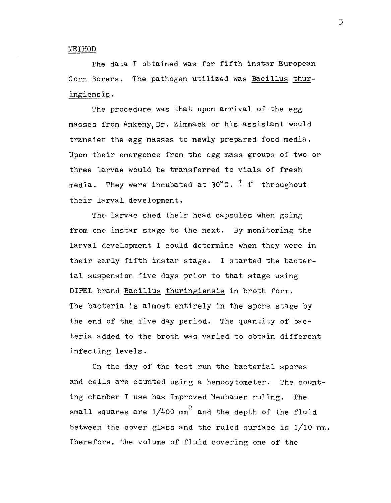## METHOD

The data I obtained was for fifth instar European Corn Borers. The pathogen utilized was Bacillus thuringiensis.

The procedure was that upon arrival of the egg masses from  $Ankeny<sub>Y</sub> Dr. Zimmack$  or his assistant would transfer the egg masses to newly prepared food media. Upon their emergence from the egg mass groups of two or three larvae would be transferred to vials of fresh media. They were incubated at  $30^{\circ}$ C.  $\frac{+}{4}$  1° throughout their larval development.

The larvae shed their head capsules when going from one instar stage to the next. By monitoring the larval development I could determine when they were in their early fifth instar stage. I started the bacterial suspension five days prior to that stage using DIPEL brand Bacillus thuringiensis in broth form. The bacteria is almost entirely in the spore stage by the end of the five day period. The quantity of bacteria added to the broth was varied to obtain different infecting levels.

On the day of the test run the bacterial spores and celIs are counted using a hemocytometer. The counting chamber I use has Improved Neubauer ruling. The small squares are  $1/4$ 00 mm $^2$  and the depth of the fluid between the cover glass and the ruled surface is 1/10 mm. Therefore. the volume of fluid covering one of the

)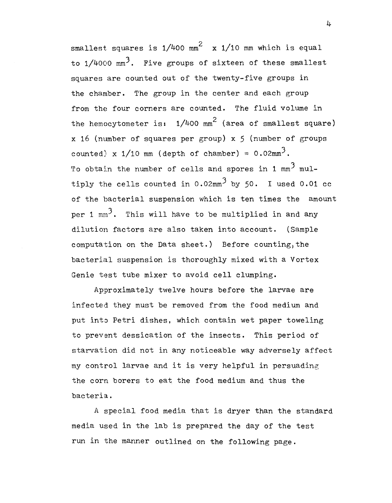smallest squares is  $1/4$ 00 mm $^2$   $\,$  x  $1/10$  mm which is equal to  $1/4000$  mm<sup>3</sup>. Five groups of sixteen of these smallest squares are counted out of the twenty-five groups in the chamber. The group in the center and each group from the four corners are counted. The fluid volume in the hemocytometer is:  $1/4$ 00 mm $^{2}$  (area of smallest square)  $x$  16 (number of squares per group)  $x$  5 (number of groups counted) x  $1/10$  mm (depth of chamber) =  $0.02$ mm<sup>3</sup>. To obtain the number of cells and spores in 1 mm<sup>3</sup> multiply the cells counted in  $0.02$ mm<sup>3</sup> by 50. I used 0.01 cc of the bacterial suspension which is ten times the amount per 1  $mm^3$ . This will have to be multiplied in and any dilution factors are also taken into account. (Sample computation on the Data sheet.) Before counting, the bacterial suspension is thoroughly mixed with a Vortex Genie test tube mixer to avoid cell clumping.

Approximately twelve hours before the larvae are infected they must be removed from the food medium and put into Petri dishes, which contain wet paper toweling to prevent dessication of the insects. This period of starvation did not in any noticeable way adversely affect my control larvae and it is very helpful in persuading the corn borers to eat the food medium and thus the bacteria.

A special food media that is dryer than the standard media used in the lab is prepared the day of the test run in the manner outlined on the following page.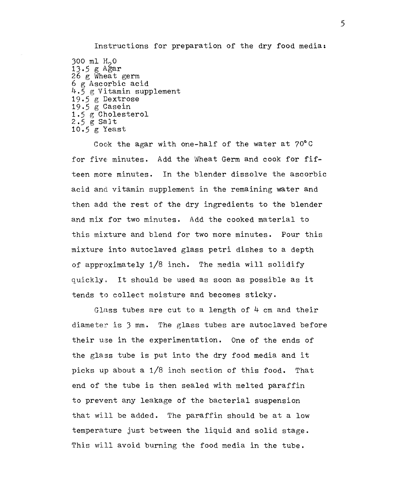Instructions for preparation of the dry food media: 300 ml  $H_2$ 0<br>13.5 g Ağar  $26 \text{ g}$  Wheat germ 6 g Ascorbic acid 4.5 g Vitamin supplement 19.5 g Dextrose 19.5 g Casein 1.5 g Cholesterol 2.5 g Salt

10.5 g Yeast

Cook the agar with one-half of the water at 70°C for five minutes. Add the Wheat Germ and cook for fifteen more minutes. In the blender dissolve the ascorbic acid and vitamin supplement in the remaining water and then add the rest of the dry ingredients to the blender and mix for two minutes. Add the cooked material to this mixture and blend for two more minutes. Pour this mixture into autoclaved glass petri dishes to a depth of approximately 1/8 inch. The media will solidify quickly. It should be used as soon as possible as it tends to collect moisture and becomes sticky.

Glass tubes are cut to a length of  $4$  cm and their diameter is 3 mm. The glass tubes are autoclaved before their use in the experimentation. One of the ends of the glass tube is put into the dry food media and it picks up about a 1/8 inch section of this food. That end of the tube is then sealed with melted paraffin to prevent any leakage of the bacterial suspension that will be added. The paraffin should be at a low temperature just between the liquid and solid stage. This will avoid burning the food media in the tube.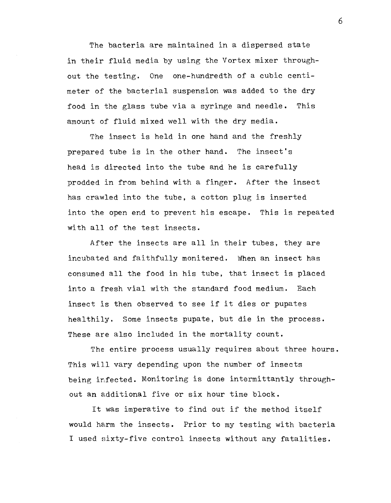The bacteria are maintained in a dispersed state in their fluid media by using the Vortex mixer throughout the testing. One one-hundredth of a cubic centimeter of the bacterial suspension was added to the dry food in the glass tube via a syringe and needle. This amount of fluid mixed well with the dry media.

The insect is held in one hand and the freshly prepared tube is in the other hand. The insect's head is directed into the tube and he is carefully prodded in from behind with a finger. After the insect has crawled into the tube. a cotton plug is inserted into the open end to prevent his escape. This is repeated with all of the test insects.

After the insects are all in their tubes, they are incubated and faithfully monitered. When an insect has consumed all the food in his tube, that insect is placed into a fresh vial with the standard food medium. Each insect is then observed to see if it dies or pupates healthily. Some insects pupate, but die in the process. These are also included in the mortality count.

The entire process usually requires about three hours. This will vary depending upon the number of insects being infected. Monitoring is done intermittantly throughout an additional five or six hour time block.

It was imperative to find out if the method itself would harm the insects. Prior to my testing with bacteria I used sixty-five control insects without any fatalities.

6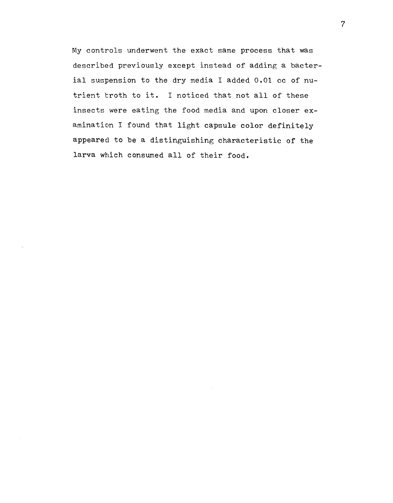My controls underwent the exact same process that was described previously except instead of adding a bacterial suspension to the dry media I added 0.01 cc of nutrient troth to it. I noticed that not all of these insects were eating the food media and upon closer examination I found that light capsule color definitely appeared to be a distinguishing characteristic of the larva which consumed all of their food.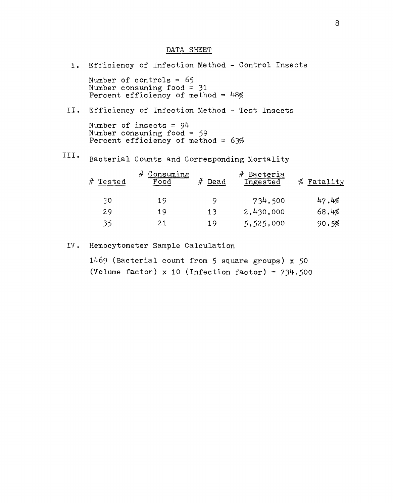#### DATA SHEET

I. Efficiency of Infection Method - Control Insects Number of controls = 65 Number consuming food  $=$  31 Percent efficiency of method =  $48\%$ II. Efficiency of Infection Method - Test Insects Number of insects = 94 Number consuming food =  $59$ Percent efficiency of method =  $63%$ III. Bacterial Counts and Corresponding Mortality # Consuming # Bacteria # Tested Food # Dead Ingested % Fatality ;10 19 9 734.500 29 19 13 2,430,000  $35$  21 19 5,525,000 47.4% 68.4% 90.5%

# IV. Hemocytometer Sample Calculation

1469 (Bacterial count from 5 square groups) x 50 (Volume factor) x 10 (Infection factor) =  $734,500$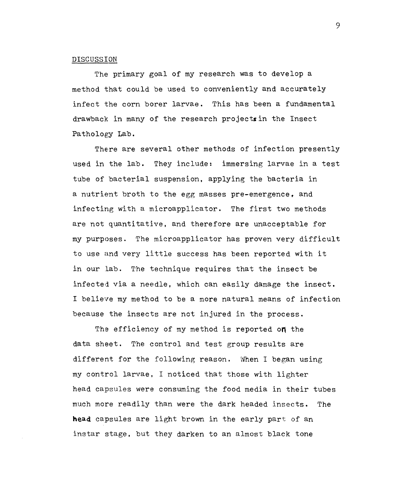## DISCUSSION

The primary goal of my research was to develop a method that could be used to conveniently and accurately infect the corn borer larvae. This has been a fundamental drawback in many of the research projectsin the Insect Pathology **Lab.** 

There are several other methods of infection presently used in the lab. They include: immersing larvae in a test tube of bacterial suspension. applying the bacteria in a nutrient broth to the egg masses pre-emergence, and infecting with a microapplicator. The first two methods are not quantitative, and therefore are unacceptable for my purposes. The microapplicator has proven very difficult to use and very little success has been reported with it in our lab. The technique requires that the insect be infected via a needle, which can easily damage the insect. I believe my method to be a more natural means of infection because the insects are not injured in the process.

The efficiency of my method is reported **on** the data sheet. The control and test group results are different for the following reason. When I began using my control larvae. I noticed that those with lighter head capsules were consuming the food media in their tubes much more readily than were the dark headed insects. The **head** capsules are light brown in the early part of an instar stage. but they darken to an almost black tone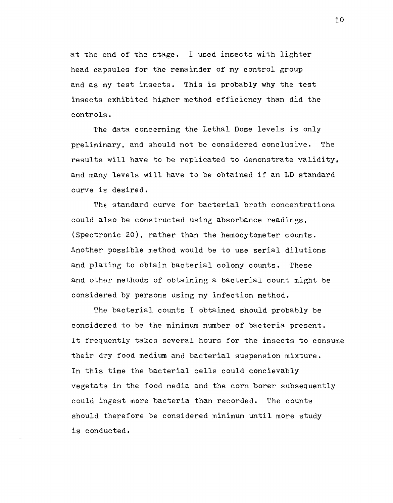at the end of the stage. I used insects with lighter head capsules for the remainder of my control group and as my test insects. This is probably why the test insects exhibited higher method efficiency than did the controls.

The data concerning the Lethal Dose levels is only preliminary, and should not be considered conclusive. The results will have to be replicated to demonstrate validity, and many levels will have to be obtained if an LD standard curve is desired.

The standard curve for bacterial broth concentrations could also be constructed using absorbance readings, (Spectronic 20), rather than the hemocytometer counts. Another possible method would be to use serial dilutions and plating to obtain bacterial colony counts. These and other methods of obtaining a bacterial count might be considered by persons using my infection method.

The bacterial counts I obtained should probably be considered to be the minimum number of bacteria present. It frequently takes several hours for the insects to consume their dry food medium and bacterial suspension mixture. In this time the bacterial cells could concievably vegetate in the food media and the corn borer subsequently could ingest more bacteria than recorded. The counts should therefore be considered minimum until more study is conducted.